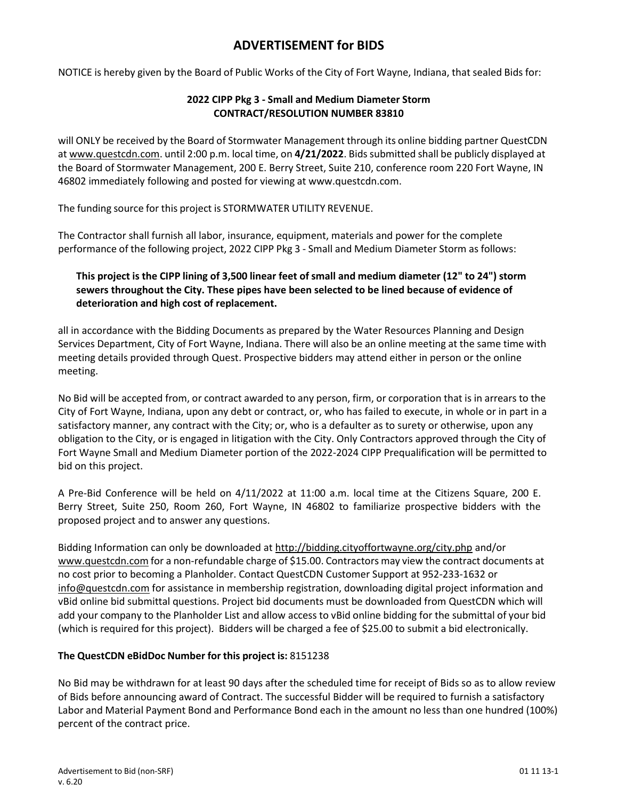## **ADVERTISEMENT for BIDS**

NOTICE is hereby given by the Board of Public Works of the City of Fort Wayne, Indiana, that sealed Bids for:

## **2022 CIPP Pkg 3 ‐ Small and Medium Diameter Storm CONTRACT/RESOLUTION NUMBER 83810**

will ONLY be received by the Board of Stormwater Management through its online bidding partner QuestCDN at [www.questcdn.com.](http://www.questcdn.com/) until 2:00 p.m. local time, on **4/21/2022**. Bids submitted shall be publicly displayed at the Board of Stormwater Management, 200 E. Berry Street, Suite 210, conference room 220 Fort Wayne, IN 46802 immediately following and posted for viewing at [www.questcdn.com.](http://www.questcdn.com/)

The funding source for this project is STORMWATER UTILITY REVENUE.

The Contractor shall furnish all labor, insurance, equipment, materials and power for the complete performance of the following project, 2022 CIPP Pkg 3 ‐ Small and Medium Diameter Storm as follows:

## This project is the CIPP lining of 3,500 linear feet of small and medium diameter (12" to 24") storm **sewers throughout the City. These pipes have been selected to be lined because of evidence of deterioration and high cost of replacement.**

all in accordance with the Bidding Documents as prepared by the Water Resources Planning and Design Services Department, City of Fort Wayne, Indiana. There will also be an online meeting at the same time with meeting details provided through Quest. Prospective bidders may attend either in person or the online meeting.

No Bid will be accepted from, or contract awarded to any person, firm, or corporation that is in arrears to the City of Fort Wayne, Indiana, upon any debt or contract, or, who has failed to execute, in whole or in part in a satisfactory manner, any contract with the City; or, who is a defaulter as to surety or otherwise, upon any obligation to the City, or is engaged in litigation with the City. Only Contractors approved through the City of Fort Wayne Small and Medium Diameter portion of the 2022‐2024 CIPP Prequalification will be permitted to bid on this project.

A Pre‐Bid Conference will be held on 4/11/2022 at 11:00 a.m. local time at the Citizens Square, 200 E. Berry Street, Suite 250, Room 260, Fort Wayne, IN 46802 to familiarize prospective bidders with the proposed project and to answer any questions.

Bidding Information can only be downloaded a[t http://bidding.cityoffortwayne.org/city.php](http://bidding.cityoffortwayne.org/city.php) and/or [www.questcdn.com](http://www.questcdn.com/) for a non-refundable charge of \$15.00. Contractors may view the contract documents at no cost prior to becoming a Planholder. Contact QuestCDN Customer Support at 952‐233‐1632 or [info@questcdn.com](mailto:info@questcdn.com) for assistance in membership registration, downloading digital project information and vBid online bid submittal questions. Project bid documents must be downloaded from QuestCDN which will add your company to the Planholder List and allow access to vBid online bidding for the submittal of your bid (which is required for this project). Bidders will be charged a fee of \$25.00 to submit a bid electronically.

## **The QuestCDN eBidDoc Number for this project is:** 8151238

No Bid may be withdrawn for at least 90 days after the scheduled time for receipt of Bids so as to allow review of Bids before announcing award of Contract. The successful Bidder will be required to furnish a satisfactory Labor and Material Payment Bond and Performance Bond each in the amount no less than one hundred (100%) percent of the contract price.